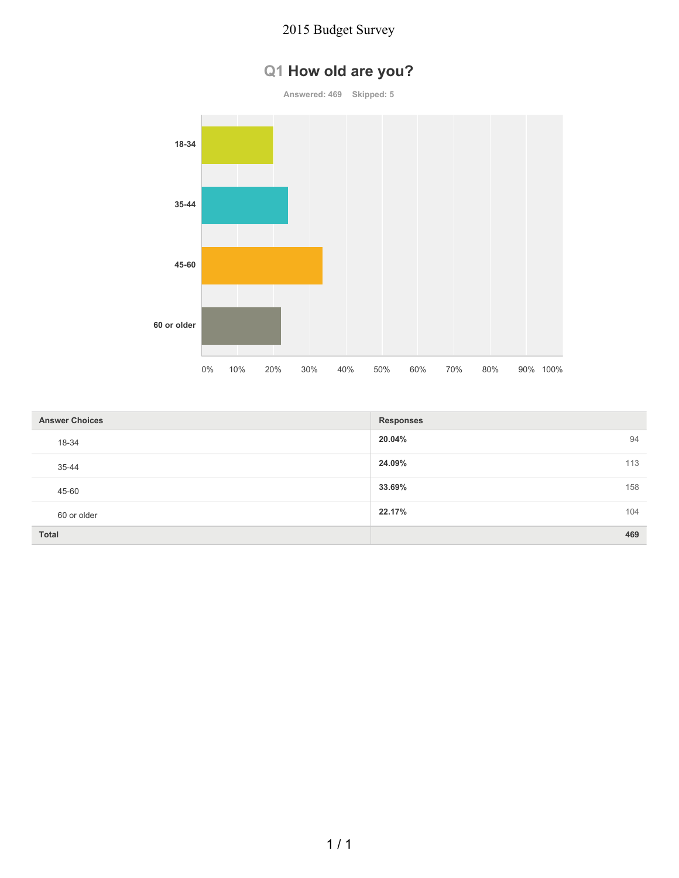# **Q1 How old are you?**

**Answered: 469 Skipped: 5**



| <b>Answer Choices</b> | <b>Responses</b> |     |
|-----------------------|------------------|-----|
| 18-34                 | 20.04%           | 94  |
| 35-44                 | 24.09%           | 113 |
| 45-60                 | 33.69%           | 158 |
| 60 or older           | 22.17%           | 104 |
| <b>Total</b>          |                  | 469 |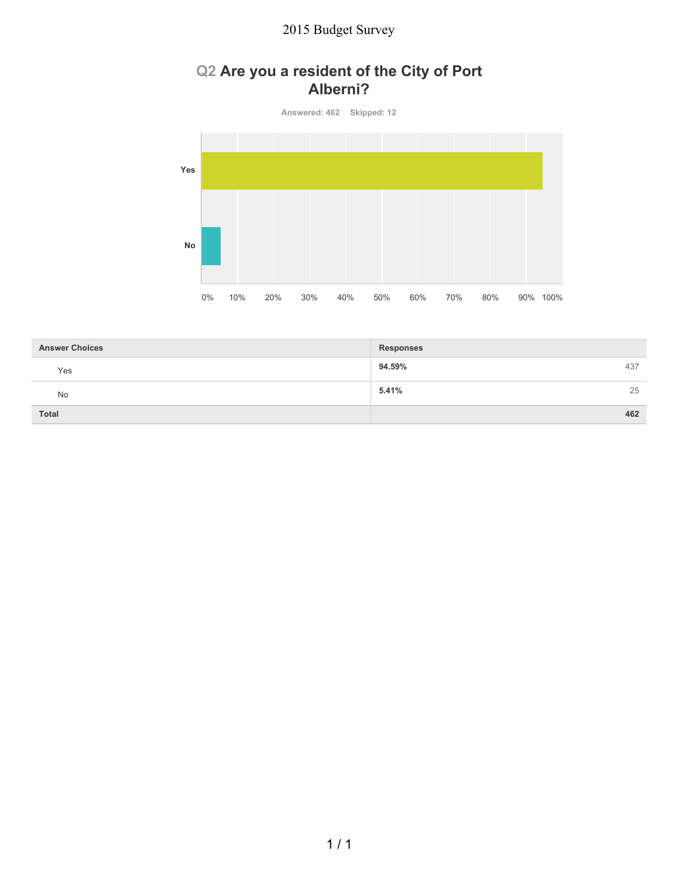### **Q2 Are you a resident of the City of Port Alberni?**

**Answered: 462 Skipped: 12**



| <b>Answer Choices</b> | <b>Responses</b> |  |
|-----------------------|------------------|--|
| Yes                   | 94.59%<br>437    |  |
| No                    | 5.41%<br>25      |  |
| <b>Total</b>          | 462              |  |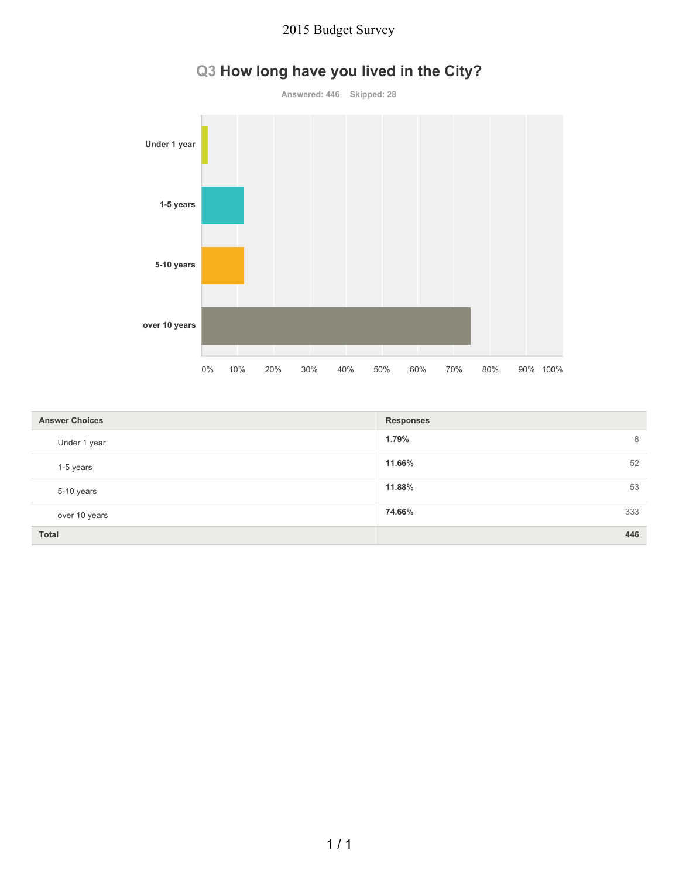

# **Q3 How long have you lived in the City?**

| <b>Answer Choices</b> | <b>Responses</b> |  |
|-----------------------|------------------|--|
| Under 1 year          | 1.79%<br>8       |  |
| 1-5 years             | 11.66%<br>52     |  |
| 5-10 years            | 11.88%<br>53     |  |
| over 10 years         | 74.66%<br>333    |  |
| <b>Total</b>          | 446              |  |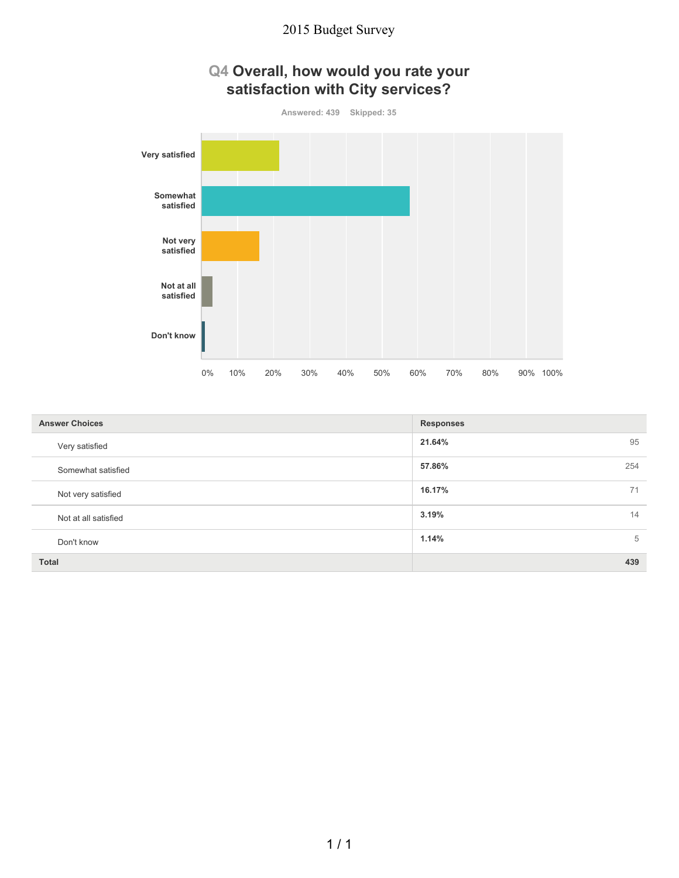

| Q4 Overall, how would you rate your |  |
|-------------------------------------|--|
| satisfaction with City services?    |  |

| <b>Answer Choices</b> | <b>Responses</b> |  |
|-----------------------|------------------|--|
| Very satisfied        | 21.64%<br>95     |  |
| Somewhat satisfied    | 57.86%<br>254    |  |
| Not very satisfied    | 16.17%<br>71     |  |
| Not at all satisfied  | 3.19%<br>14      |  |
| Don't know            | 1.14%<br>5       |  |
| Total                 | 439              |  |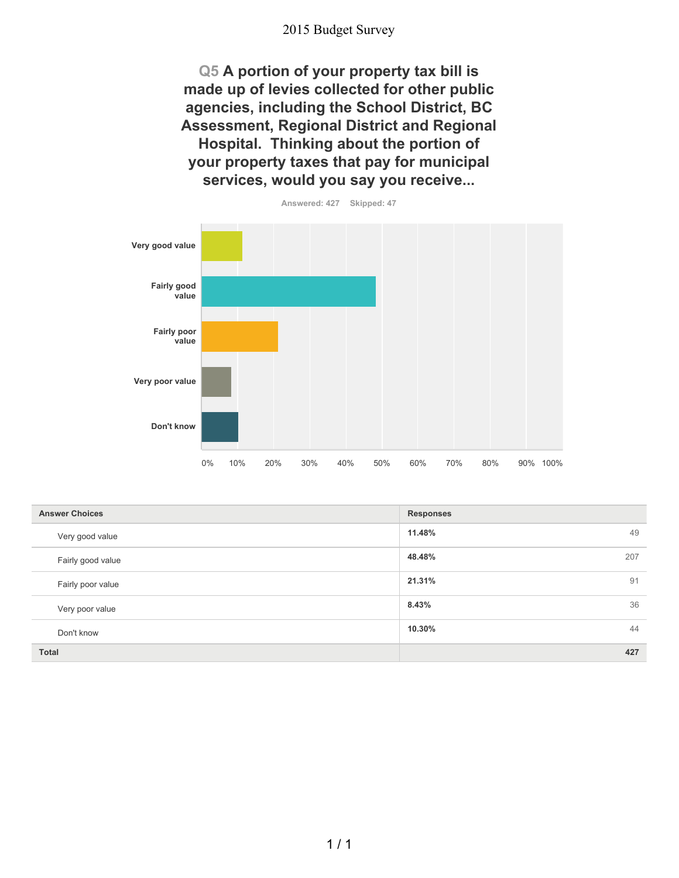**Q5 A portion of your property tax bill is made up of levies collected for other public agencies, including the School District, BC Assessment, Regional District and Regional Hospital. Thinking about the portion of your property taxes that pay for municipal services, would you say you receive...**



| <b>Answer Choices</b> | <b>Responses</b> |  |
|-----------------------|------------------|--|
| Very good value       | 11.48%<br>49     |  |
| Fairly good value     | 48.48%<br>207    |  |
| Fairly poor value     | 21.31%<br>91     |  |
| Very poor value       | 8.43%<br>36      |  |
| Don't know            | 44<br>10.30%     |  |
| <b>Total</b>          | 427              |  |

 $1/1$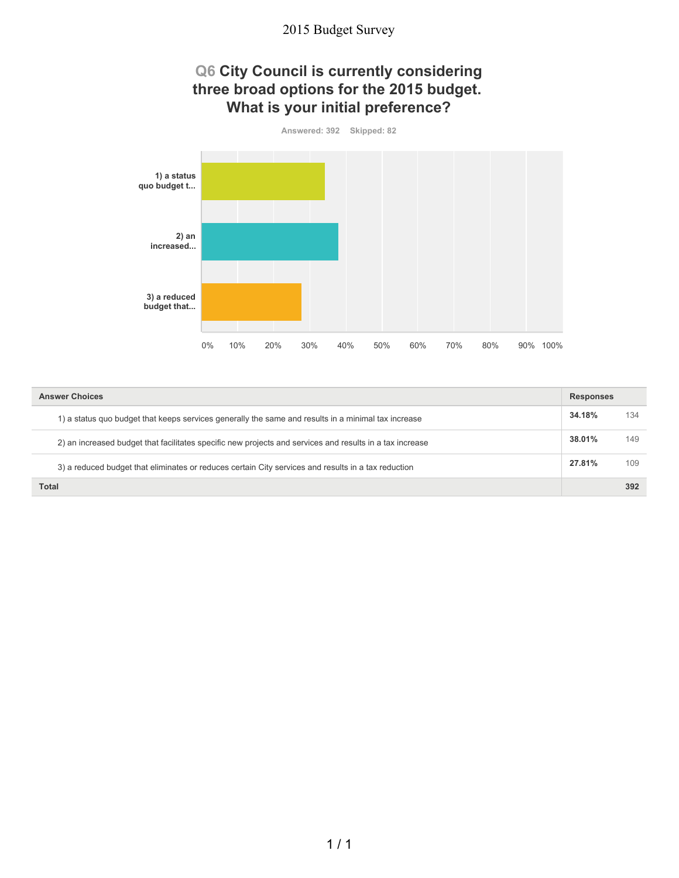### **Q6 City Council is currently considering three broad options for the 2015 budget. What is your initial preference?**



| <b>Answer Choices</b>                                                                                    |        | <b>Responses</b> |  |
|----------------------------------------------------------------------------------------------------------|--------|------------------|--|
| 1) a status quo budget that keeps services generally the same and results in a minimal tax increase      | 34.18% | 134              |  |
| 2) an increased budget that facilitates specific new projects and services and results in a tax increase | 38.01% | 149              |  |
| 3) a reduced budget that eliminates or reduces certain City services and results in a tax reduction      | 27.81% | 109              |  |
| Total                                                                                                    |        | 392              |  |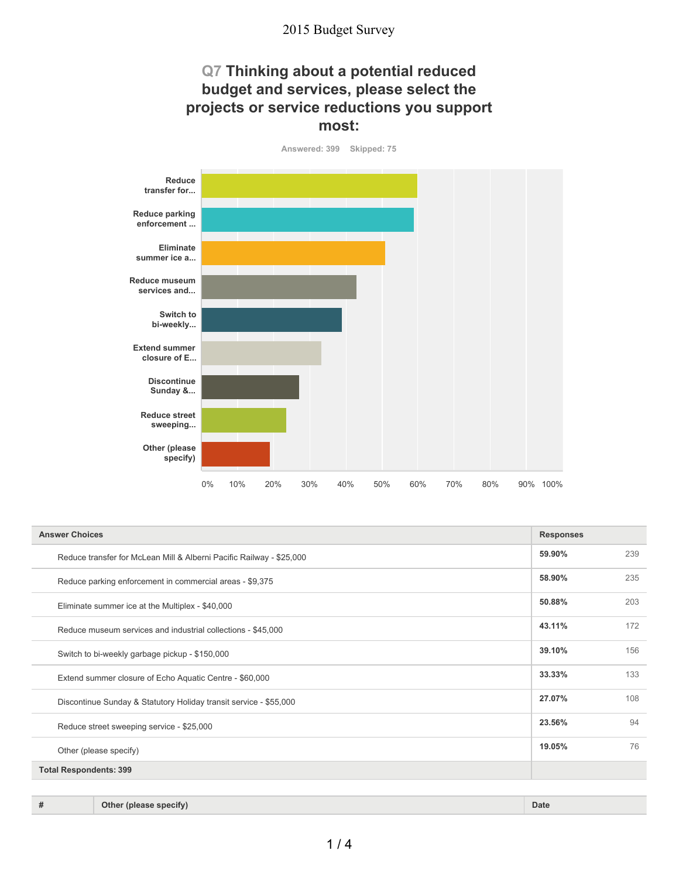### **Q7 Thinking about a potential reduced budget and services, please select the projects or service reductions you support most:**

**Answered: 399 Skipped: 75**



| <b>Answer Choices</b>                                                       |        |     |
|-----------------------------------------------------------------------------|--------|-----|
| Reduce transfer for McLean Mill & Alberni Pacific Railway - \$25,000        | 59.90% | 239 |
| Reduce parking enforcement in commercial areas - \$9,375                    | 58.90% | 235 |
| Eliminate summer ice at the Multiplex - \$40,000                            | 50.88% | 203 |
| Reduce museum services and industrial collections - \$45,000                | 43.11% | 172 |
| 39.10%<br>Switch to bi-weekly garbage pickup - \$150,000                    |        | 156 |
| 33.33%<br>Extend summer closure of Echo Aquatic Centre - \$60,000           |        | 133 |
| 27.07%<br>Discontinue Sunday & Statutory Holiday transit service - \$55,000 |        | 108 |
| 23.56%<br>Reduce street sweeping service - \$25,000                         |        | 94  |
| Other (please specify)                                                      | 19.05% | 76  |
| <b>Total Respondents: 399</b>                                               |        |     |
|                                                                             |        |     |

**# Other (please specify) Date**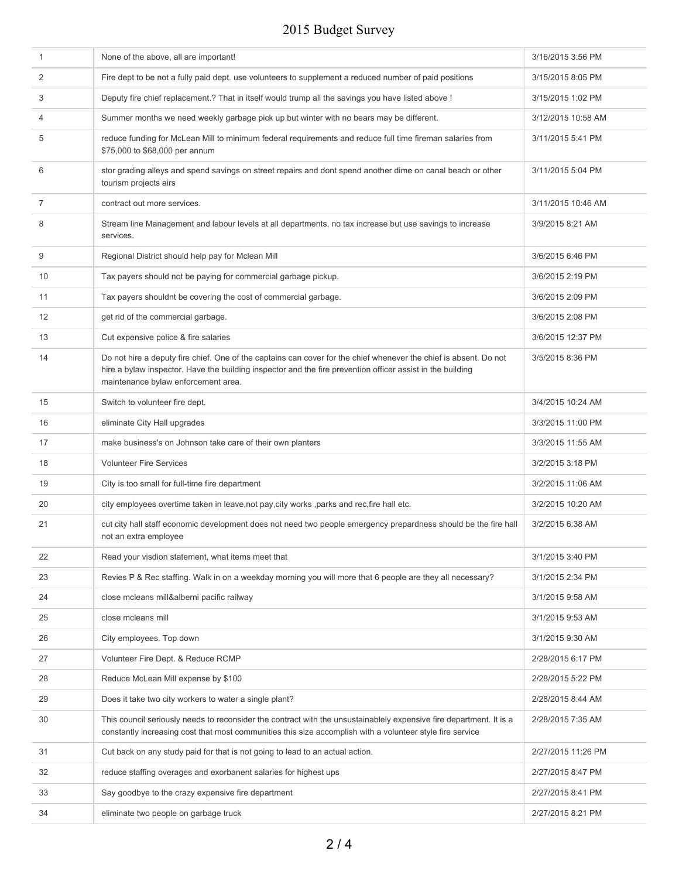| $\mathbf{1}$   | None of the above, all are important!                                                                                                                                                                                                                                  | 3/16/2015 3:56 PM  |
|----------------|------------------------------------------------------------------------------------------------------------------------------------------------------------------------------------------------------------------------------------------------------------------------|--------------------|
| 2              | Fire dept to be not a fully paid dept. use volunteers to supplement a reduced number of paid positions                                                                                                                                                                 | 3/15/2015 8:05 PM  |
| 3              | Deputy fire chief replacement.? That in itself would trump all the savings you have listed above !                                                                                                                                                                     | 3/15/2015 1:02 PM  |
| $\overline{4}$ | Summer months we need weekly garbage pick up but winter with no bears may be different.                                                                                                                                                                                | 3/12/2015 10:58 AM |
| 5              | reduce funding for McLean Mill to minimum federal requirements and reduce full time fireman salaries from<br>\$75,000 to \$68,000 per annum                                                                                                                            | 3/11/2015 5:41 PM  |
| 6              | stor grading alleys and spend savings on street repairs and dont spend another dime on canal beach or other<br>tourism projects airs                                                                                                                                   | 3/11/2015 5:04 PM  |
| 7              | contract out more services.                                                                                                                                                                                                                                            | 3/11/2015 10:46 AM |
| 8              | Stream line Management and labour levels at all departments, no tax increase but use savings to increase<br>services.                                                                                                                                                  | 3/9/2015 8:21 AM   |
| 9              | Regional District should help pay for Mclean Mill                                                                                                                                                                                                                      | 3/6/2015 6:46 PM   |
| 10             | Tax payers should not be paying for commercial garbage pickup.                                                                                                                                                                                                         | 3/6/2015 2:19 PM   |
| 11             | Tax payers shouldnt be covering the cost of commercial garbage.                                                                                                                                                                                                        | 3/6/2015 2:09 PM   |
| 12             | get rid of the commercial garbage.                                                                                                                                                                                                                                     | 3/6/2015 2:08 PM   |
| 13             | Cut expensive police & fire salaries                                                                                                                                                                                                                                   | 3/6/2015 12:37 PM  |
| 14             | Do not hire a deputy fire chief. One of the captains can cover for the chief whenever the chief is absent. Do not<br>hire a bylaw inspector. Have the building inspector and the fire prevention officer assist in the building<br>maintenance bylaw enforcement area. | 3/5/2015 8:36 PM   |
| 15             | Switch to volunteer fire dept.                                                                                                                                                                                                                                         | 3/4/2015 10:24 AM  |
| 16             | eliminate City Hall upgrades                                                                                                                                                                                                                                           | 3/3/2015 11:00 PM  |
| 17             | make business's on Johnson take care of their own planters                                                                                                                                                                                                             | 3/3/2015 11:55 AM  |
| 18             | <b>Volunteer Fire Services</b>                                                                                                                                                                                                                                         | 3/2/2015 3:18 PM   |
| 19             | City is too small for full-time fire department                                                                                                                                                                                                                        | 3/2/2015 11:06 AM  |
| 20             | city employees overtime taken in leave, not pay, city works, parks and rec, fire hall etc.                                                                                                                                                                             | 3/2/2015 10:20 AM  |
| 21             | cut city hall staff economic development does not need two people emergency prepardness should be the fire hall<br>not an extra employee                                                                                                                               | 3/2/2015 6:38 AM   |
| 22             | Read your visdion statement, what items meet that                                                                                                                                                                                                                      | 3/1/2015 3:40 PM   |
| 23             | Revies P & Rec staffing. Walk in on a weekday morning you will more that 6 people are they all necessary?                                                                                                                                                              | 3/1/2015 2:34 PM   |
| 24             | close mcleans mill&alberni pacific railway                                                                                                                                                                                                                             | 3/1/2015 9:58 AM   |
| 25             | close mcleans mill                                                                                                                                                                                                                                                     | 3/1/2015 9:53 AM   |
| 26             | City employees. Top down                                                                                                                                                                                                                                               | 3/1/2015 9:30 AM   |
| 27             | Volunteer Fire Dept. & Reduce RCMP                                                                                                                                                                                                                                     | 2/28/2015 6:17 PM  |
| 28             | Reduce McLean Mill expense by \$100                                                                                                                                                                                                                                    | 2/28/2015 5:22 PM  |
| 29             | Does it take two city workers to water a single plant?                                                                                                                                                                                                                 | 2/28/2015 8:44 AM  |
| 30             | This council seriously needs to reconsider the contract with the unsustainablely expensive fire department. It is a<br>constantly increasing cost that most communities this size accomplish with a volunteer style fire service                                       | 2/28/2015 7:35 AM  |
| 31             | Cut back on any study paid for that is not going to lead to an actual action.                                                                                                                                                                                          | 2/27/2015 11:26 PM |
| 32             | reduce staffing overages and exorbanent salaries for highest ups                                                                                                                                                                                                       | 2/27/2015 8:47 PM  |
| 33             | Say goodbye to the crazy expensive fire department                                                                                                                                                                                                                     | 2/27/2015 8:41 PM  |
| 34             | eliminate two people on garbage truck                                                                                                                                                                                                                                  | 2/27/2015 8:21 PM  |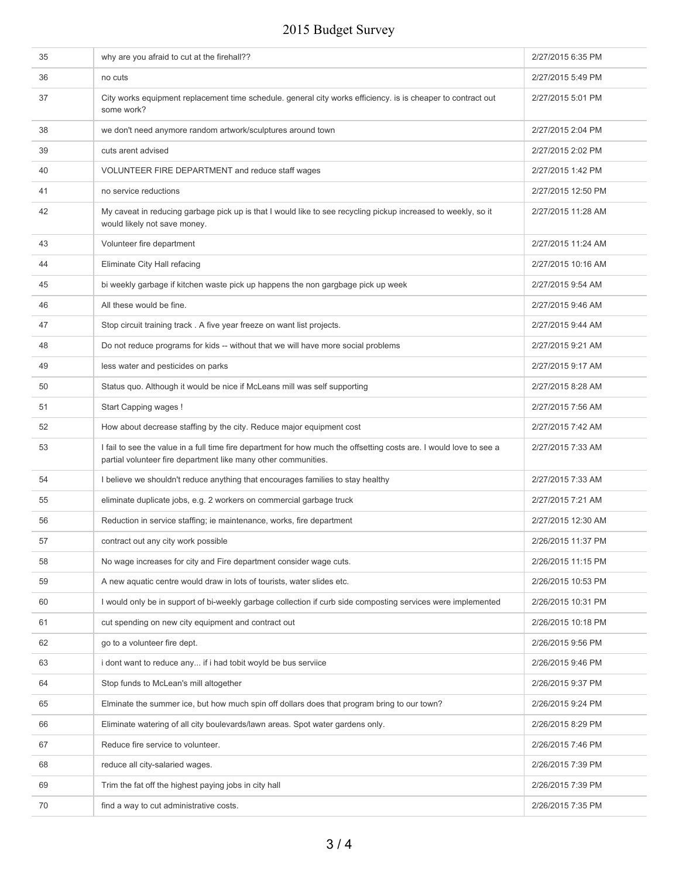| 35 | why are you afraid to cut at the firehall??                                                                                                                                           | 2/27/2015 6:35 PM  |
|----|---------------------------------------------------------------------------------------------------------------------------------------------------------------------------------------|--------------------|
| 36 | no cuts                                                                                                                                                                               | 2/27/2015 5:49 PM  |
| 37 | City works equipment replacement time schedule. general city works efficiency. is is cheaper to contract out<br>some work?                                                            | 2/27/2015 5:01 PM  |
| 38 | we don't need anymore random artwork/sculptures around town                                                                                                                           | 2/27/2015 2:04 PM  |
| 39 | cuts arent advised                                                                                                                                                                    | 2/27/2015 2:02 PM  |
| 40 | VOLUNTEER FIRE DEPARTMENT and reduce staff wages                                                                                                                                      | 2/27/2015 1:42 PM  |
| 41 | no service reductions                                                                                                                                                                 | 2/27/2015 12:50 PM |
| 42 | My caveat in reducing garbage pick up is that I would like to see recycling pickup increased to weekly, so it<br>would likely not save money.                                         | 2/27/2015 11:28 AM |
| 43 | Volunteer fire department                                                                                                                                                             | 2/27/2015 11:24 AM |
| 44 | Eliminate City Hall refacing                                                                                                                                                          | 2/27/2015 10:16 AM |
| 45 | bi weekly garbage if kitchen waste pick up happens the non gargbage pick up week                                                                                                      | 2/27/2015 9:54 AM  |
| 46 | All these would be fine.                                                                                                                                                              | 2/27/2015 9:46 AM  |
| 47 | Stop circuit training track. A five year freeze on want list projects.                                                                                                                | 2/27/2015 9:44 AM  |
| 48 | Do not reduce programs for kids -- without that we will have more social problems                                                                                                     | 2/27/2015 9:21 AM  |
| 49 | less water and pesticides on parks                                                                                                                                                    | 2/27/2015 9:17 AM  |
| 50 | Status quo. Although it would be nice if McLeans mill was self supporting                                                                                                             | 2/27/2015 8:28 AM  |
| 51 | Start Capping wages !                                                                                                                                                                 | 2/27/2015 7:56 AM  |
| 52 | How about decrease staffing by the city. Reduce major equipment cost                                                                                                                  | 2/27/2015 7:42 AM  |
| 53 | I fail to see the value in a full time fire department for how much the offsetting costs are. I would love to see a<br>partial volunteer fire department like many other communities. | 2/27/2015 7:33 AM  |
| 54 | I believe we shouldn't reduce anything that encourages families to stay healthy                                                                                                       | 2/27/2015 7:33 AM  |
| 55 | eliminate duplicate jobs, e.g. 2 workers on commercial garbage truck                                                                                                                  | 2/27/2015 7:21 AM  |
| 56 | Reduction in service staffing; ie maintenance, works, fire department                                                                                                                 | 2/27/2015 12:30 AM |
| 57 | contract out any city work possible                                                                                                                                                   | 2/26/2015 11:37 PM |
| 58 | No wage increases for city and Fire department consider wage cuts.                                                                                                                    | 2/26/2015 11:15 PM |
| 59 | A new aquatic centre would draw in lots of tourists, water slides etc.                                                                                                                | 2/26/2015 10:53 PM |
| 60 | I would only be in support of bi-weekly garbage collection if curb side composting services were implemented                                                                          | 2/26/2015 10:31 PM |
| 61 | cut spending on new city equipment and contract out                                                                                                                                   | 2/26/2015 10:18 PM |
| 62 | go to a volunteer fire dept.                                                                                                                                                          | 2/26/2015 9:56 PM  |
| 63 | i dont want to reduce any if i had tobit woyld be bus serviice                                                                                                                        | 2/26/2015 9:46 PM  |
| 64 | Stop funds to McLean's mill altogether                                                                                                                                                | 2/26/2015 9:37 PM  |
| 65 | Elminate the summer ice, but how much spin off dollars does that program bring to our town?                                                                                           | 2/26/2015 9:24 PM  |
| 66 | Eliminate watering of all city boulevards/lawn areas. Spot water gardens only.                                                                                                        | 2/26/2015 8:29 PM  |
| 67 | Reduce fire service to volunteer.                                                                                                                                                     | 2/26/2015 7:46 PM  |
| 68 | reduce all city-salaried wages.                                                                                                                                                       | 2/26/2015 7:39 PM  |
| 69 | Trim the fat off the highest paying jobs in city hall                                                                                                                                 | 2/26/2015 7:39 PM  |
| 70 | find a way to cut administrative costs.                                                                                                                                               | 2/26/2015 7:35 PM  |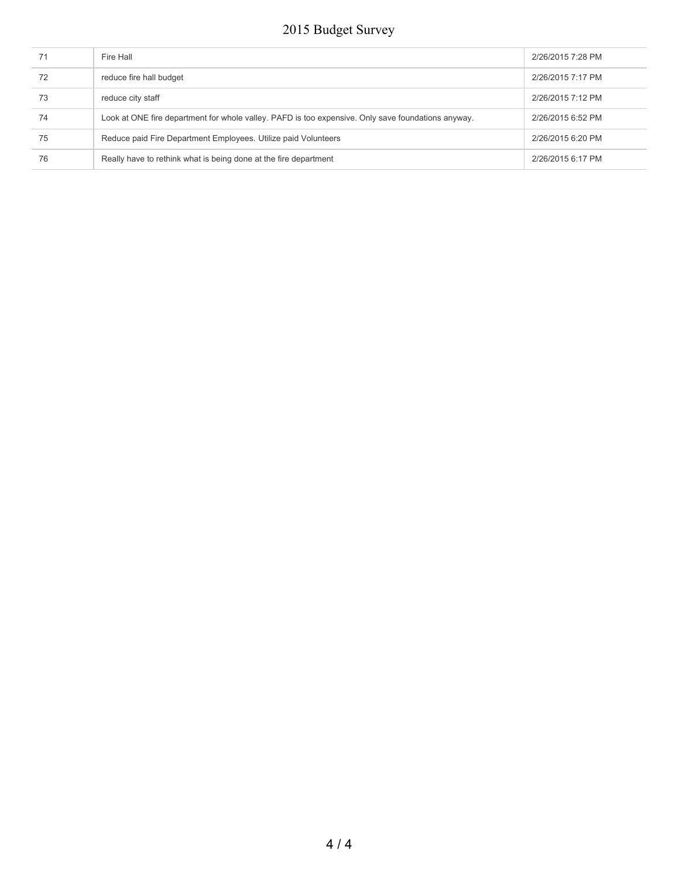| 71 | Fire Hall                                                                                          | 2/26/2015 7:28 PM |
|----|----------------------------------------------------------------------------------------------------|-------------------|
| 72 | reduce fire hall budget                                                                            | 2/26/2015 7:17 PM |
| 73 | reduce city staff                                                                                  | 2/26/2015 7:12 PM |
| 74 | Look at ONE fire department for whole valley. PAFD is too expensive. Only save foundations anyway. | 2/26/2015 6:52 PM |
| 75 | Reduce paid Fire Department Employees. Utilize paid Volunteers                                     | 2/26/2015 6:20 PM |
| 76 | Really have to rethink what is being done at the fire department                                   | 2/26/2015 6:17 PM |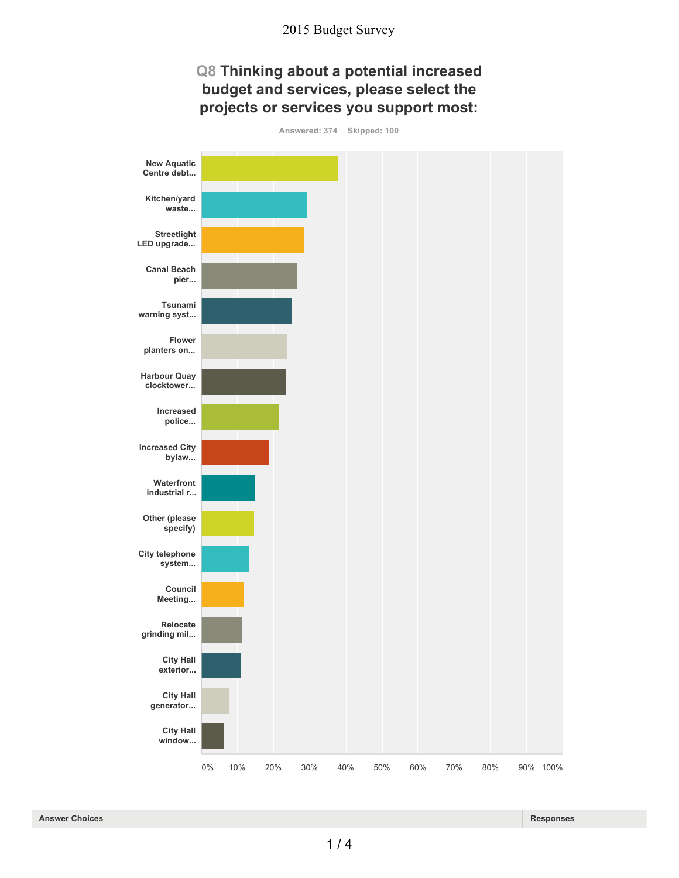### **Q8 Thinking about a potential increased budget and services, please select the projects or services you support most:**



**Answered: 374 Skipped: 100**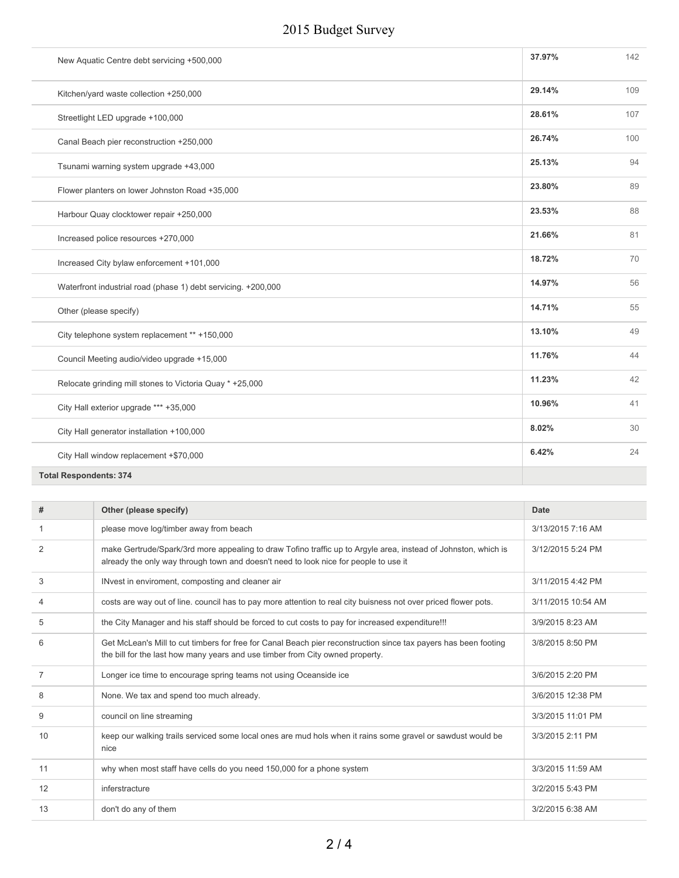| New Aquatic Centre debt servicing +500,000                    | 37.97% | 142 |
|---------------------------------------------------------------|--------|-----|
| Kitchen/yard waste collection +250,000                        | 29.14% | 109 |
| Streetlight LED upgrade +100,000                              | 28.61% | 107 |
| Canal Beach pier reconstruction +250,000                      | 26.74% | 100 |
| Tsunami warning system upgrade +43,000                        | 25.13% | 94  |
| Flower planters on lower Johnston Road +35,000                | 23.80% | 89  |
| Harbour Quay clocktower repair +250,000                       | 23.53% | 88  |
| Increased police resources +270,000                           | 21.66% | 81  |
| Increased City bylaw enforcement +101,000                     | 18.72% | 70  |
| Waterfront industrial road (phase 1) debt servicing. +200,000 | 14.97% | 56  |
| Other (please specify)                                        | 14.71% | 55  |
| City telephone system replacement ** +150,000                 | 13.10% | 49  |
| Council Meeting audio/video upgrade +15,000                   | 11.76% | 44  |
| Relocate grinding mill stones to Victoria Quay * +25,000      | 11.23% | 42  |
| City Hall exterior upgrade *** +35,000                        | 10.96% | 41  |
| City Hall generator installation +100,000                     | 8.02%  | 30  |
| City Hall window replacement +\$70,000                        | 6.42%  | 24  |
|                                                               |        |     |

**Total Respondents: 374**

| #              | Other (please specify)                                                                                                                                                                                 | <b>Date</b>        |
|----------------|--------------------------------------------------------------------------------------------------------------------------------------------------------------------------------------------------------|--------------------|
|                | please move log/timber away from beach                                                                                                                                                                 | 3/13/2015 7:16 AM  |
| 2              | make Gertrude/Spark/3rd more appealing to draw Tofino traffic up to Argyle area, instead of Johnston, which is<br>already the only way through town and doesn't need to look nice for people to use it | 3/12/2015 5:24 PM  |
| 3              | INvest in enviroment, composting and cleaner air                                                                                                                                                       | 3/11/2015 4:42 PM  |
| 4              | costs are way out of line, council has to pay more attention to real city buisness not over priced flower pots.                                                                                        | 3/11/2015 10:54 AM |
| 5              | the City Manager and his staff should be forced to cut costs to pay for increased expenditure!!!                                                                                                       | 3/9/2015 8:23 AM   |
| 6              | Get McLean's Mill to cut timbers for free for Canal Beach pier reconstruction since tax payers has been footing<br>the bill for the last how many years and use timber from City owned property.       | 3/8/2015 8:50 PM   |
| $\overline{7}$ | Longer ice time to encourage spring teams not using Oceanside ice                                                                                                                                      | 3/6/2015 2:20 PM   |
| 8              | None. We tax and spend too much already.                                                                                                                                                               | 3/6/2015 12:38 PM  |
| 9              | council on line streaming                                                                                                                                                                              | 3/3/2015 11:01 PM  |
| 10             | keep our walking trails serviced some local ones are mud hols when it rains some gravel or sawdust would be<br>nice                                                                                    | 3/3/2015 2:11 PM   |
| 11             | why when most staff have cells do you need 150,000 for a phone system                                                                                                                                  | 3/3/2015 11:59 AM  |
| 12             | inferstracture                                                                                                                                                                                         | 3/2/2015 5:43 PM   |
| 13             | don't do any of them                                                                                                                                                                                   | 3/2/2015 6:38 AM   |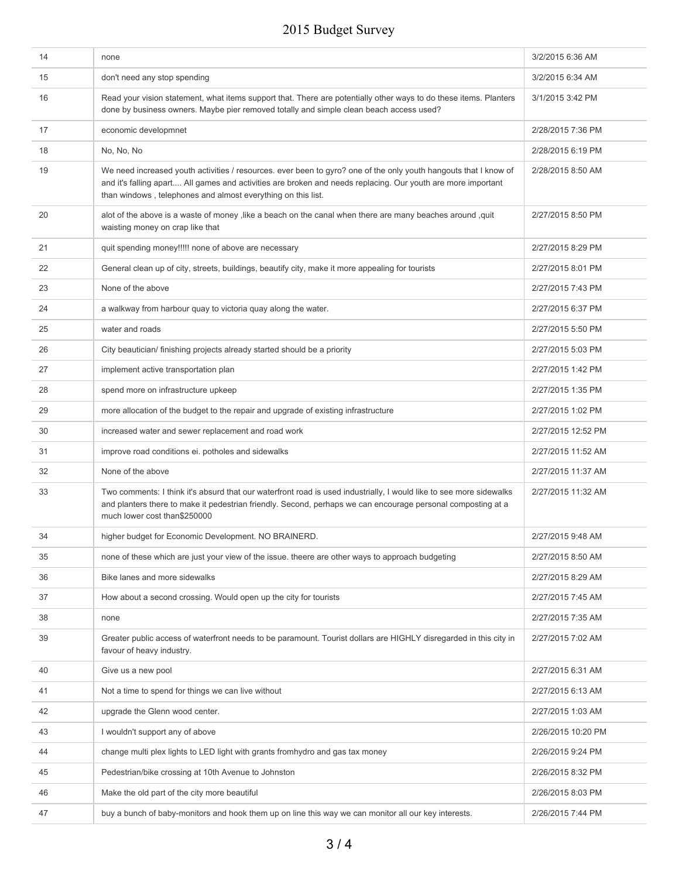| 14 | none                                                                                                                                                                                                                                                                                             | 3/2/2015 6:36 AM   |
|----|--------------------------------------------------------------------------------------------------------------------------------------------------------------------------------------------------------------------------------------------------------------------------------------------------|--------------------|
| 15 | don't need any stop spending                                                                                                                                                                                                                                                                     | 3/2/2015 6:34 AM   |
| 16 | Read your vision statement, what items support that. There are potentially other ways to do these items. Planters<br>done by business owners. Maybe pier removed totally and simple clean beach access used?                                                                                     | 3/1/2015 3:42 PM   |
| 17 | economic developmnet                                                                                                                                                                                                                                                                             | 2/28/2015 7:36 PM  |
| 18 | No, No, No                                                                                                                                                                                                                                                                                       | 2/28/2015 6:19 PM  |
| 19 | We need increased youth activities / resources. ever been to gyro? one of the only youth hangouts that I know of<br>and it's falling apart All games and activities are broken and needs replacing. Our youth are more important<br>than windows, telephones and almost everything on this list. | 2/28/2015 8:50 AM  |
| 20 | alot of the above is a waste of money , like a beach on the canal when there are many beaches around , quit<br>waisting money on crap like that                                                                                                                                                  | 2/27/2015 8:50 PM  |
| 21 | quit spending money!!!!! none of above are necessary                                                                                                                                                                                                                                             | 2/27/2015 8:29 PM  |
| 22 | General clean up of city, streets, buildings, beautify city, make it more appealing for tourists                                                                                                                                                                                                 | 2/27/2015 8:01 PM  |
| 23 | None of the above                                                                                                                                                                                                                                                                                | 2/27/2015 7:43 PM  |
| 24 | a walkway from harbour quay to victoria quay along the water.                                                                                                                                                                                                                                    | 2/27/2015 6:37 PM  |
| 25 | water and roads                                                                                                                                                                                                                                                                                  | 2/27/2015 5:50 PM  |
| 26 | City beautician/ finishing projects already started should be a priority                                                                                                                                                                                                                         | 2/27/2015 5:03 PM  |
| 27 | implement active transportation plan                                                                                                                                                                                                                                                             | 2/27/2015 1:42 PM  |
| 28 | spend more on infrastructure upkeep                                                                                                                                                                                                                                                              | 2/27/2015 1:35 PM  |
| 29 | more allocation of the budget to the repair and upgrade of existing infrastructure                                                                                                                                                                                                               | 2/27/2015 1:02 PM  |
| 30 | increased water and sewer replacement and road work                                                                                                                                                                                                                                              | 2/27/2015 12:52 PM |
| 31 | improve road conditions ei. potholes and sidewalks                                                                                                                                                                                                                                               | 2/27/2015 11:52 AM |
| 32 | None of the above                                                                                                                                                                                                                                                                                | 2/27/2015 11:37 AM |
| 33 | Two comments: I think it's absurd that our waterfront road is used industrially, I would like to see more sidewalks<br>and planters there to make it pedestrian friendly. Second, perhaps we can encourage personal composting at a<br>much lower cost than\$250000                              | 2/27/2015 11:32 AM |
| 34 | higher budget for Economic Development. NO BRAINERD.                                                                                                                                                                                                                                             | 2/27/2015 9:48 AM  |
| 35 | none of these which are just your view of the issue, theere are other ways to approach budgeting                                                                                                                                                                                                 | 2/27/2015 8:50 AM  |
| 36 | Bike lanes and more sidewalks                                                                                                                                                                                                                                                                    | 2/27/2015 8:29 AM  |
| 37 | How about a second crossing. Would open up the city for tourists                                                                                                                                                                                                                                 | 2/27/2015 7:45 AM  |
| 38 | none                                                                                                                                                                                                                                                                                             | 2/27/2015 7:35 AM  |
| 39 | Greater public access of waterfront needs to be paramount. Tourist dollars are HIGHLY disregarded in this city in<br>favour of heavy industry.                                                                                                                                                   | 2/27/2015 7:02 AM  |
| 40 | Give us a new pool                                                                                                                                                                                                                                                                               | 2/27/2015 6:31 AM  |
| 41 | Not a time to spend for things we can live without                                                                                                                                                                                                                                               | 2/27/2015 6:13 AM  |
| 42 | upgrade the Glenn wood center.                                                                                                                                                                                                                                                                   | 2/27/2015 1:03 AM  |
| 43 | I wouldn't support any of above                                                                                                                                                                                                                                                                  | 2/26/2015 10:20 PM |
| 44 | change multi plex lights to LED light with grants fromhydro and gas tax money                                                                                                                                                                                                                    | 2/26/2015 9:24 PM  |
| 45 | Pedestrian/bike crossing at 10th Avenue to Johnston                                                                                                                                                                                                                                              | 2/26/2015 8:32 PM  |
| 46 | Make the old part of the city more beautiful                                                                                                                                                                                                                                                     | 2/26/2015 8:03 PM  |
| 47 | buy a bunch of baby-monitors and hook them up on line this way we can monitor all our key interests.                                                                                                                                                                                             | 2/26/2015 7:44 PM  |
|    |                                                                                                                                                                                                                                                                                                  |                    |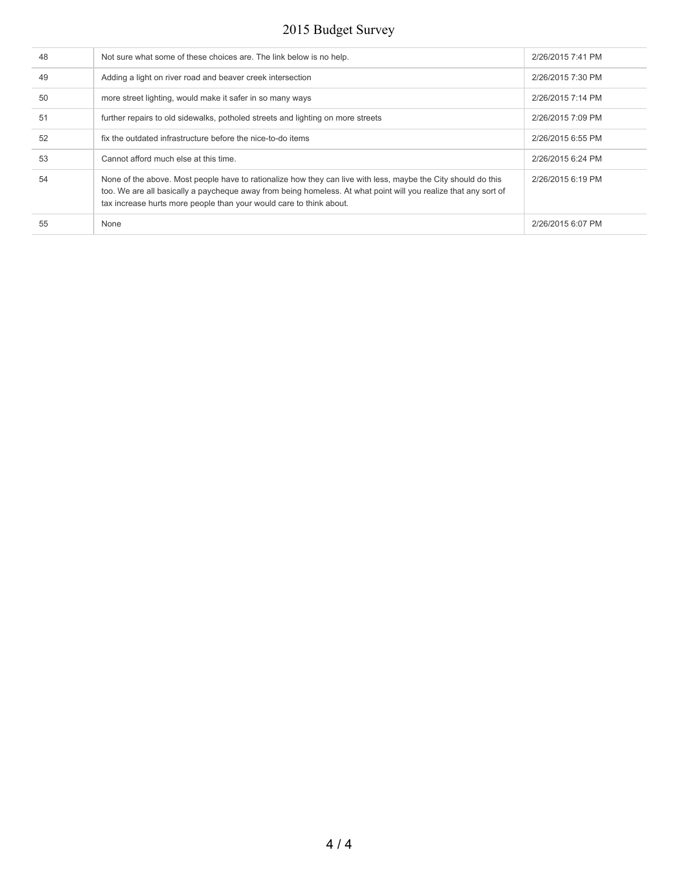| 48<br>Not sure what some of these choices are. The link below is no help.<br>2/26/2015 7:41 PM<br>49<br>Adding a light on river road and beaver creek intersection<br>2/26/2015 7:30 PM<br>50<br>2/26/2015 7:14 PM<br>more street lighting, would make it safer in so many ways<br>51<br>further repairs to old sidewalks, potholed streets and lighting on more streets<br>2/26/2015 7:09 PM<br>52<br>fix the outdated infrastructure before the nice-to-do items<br>2/26/2015 6:55 PM<br>53<br>Cannot afford much else at this time.<br>2/26/2015 6:24 PM<br>54<br>2/26/2015 6:19 PM<br>None of the above. Most people have to rationalize how they can live with less, maybe the City should do this<br>too. We are all basically a paycheque away from being homeless. At what point will you realize that any sort of<br>tax increase hurts more people than your would care to think about.<br>2/26/2015 6:07 PM<br>55<br>None |  |  |
|--------------------------------------------------------------------------------------------------------------------------------------------------------------------------------------------------------------------------------------------------------------------------------------------------------------------------------------------------------------------------------------------------------------------------------------------------------------------------------------------------------------------------------------------------------------------------------------------------------------------------------------------------------------------------------------------------------------------------------------------------------------------------------------------------------------------------------------------------------------------------------------------------------------------------------------|--|--|
|                                                                                                                                                                                                                                                                                                                                                                                                                                                                                                                                                                                                                                                                                                                                                                                                                                                                                                                                      |  |  |
|                                                                                                                                                                                                                                                                                                                                                                                                                                                                                                                                                                                                                                                                                                                                                                                                                                                                                                                                      |  |  |
|                                                                                                                                                                                                                                                                                                                                                                                                                                                                                                                                                                                                                                                                                                                                                                                                                                                                                                                                      |  |  |
|                                                                                                                                                                                                                                                                                                                                                                                                                                                                                                                                                                                                                                                                                                                                                                                                                                                                                                                                      |  |  |
|                                                                                                                                                                                                                                                                                                                                                                                                                                                                                                                                                                                                                                                                                                                                                                                                                                                                                                                                      |  |  |
|                                                                                                                                                                                                                                                                                                                                                                                                                                                                                                                                                                                                                                                                                                                                                                                                                                                                                                                                      |  |  |
|                                                                                                                                                                                                                                                                                                                                                                                                                                                                                                                                                                                                                                                                                                                                                                                                                                                                                                                                      |  |  |
|                                                                                                                                                                                                                                                                                                                                                                                                                                                                                                                                                                                                                                                                                                                                                                                                                                                                                                                                      |  |  |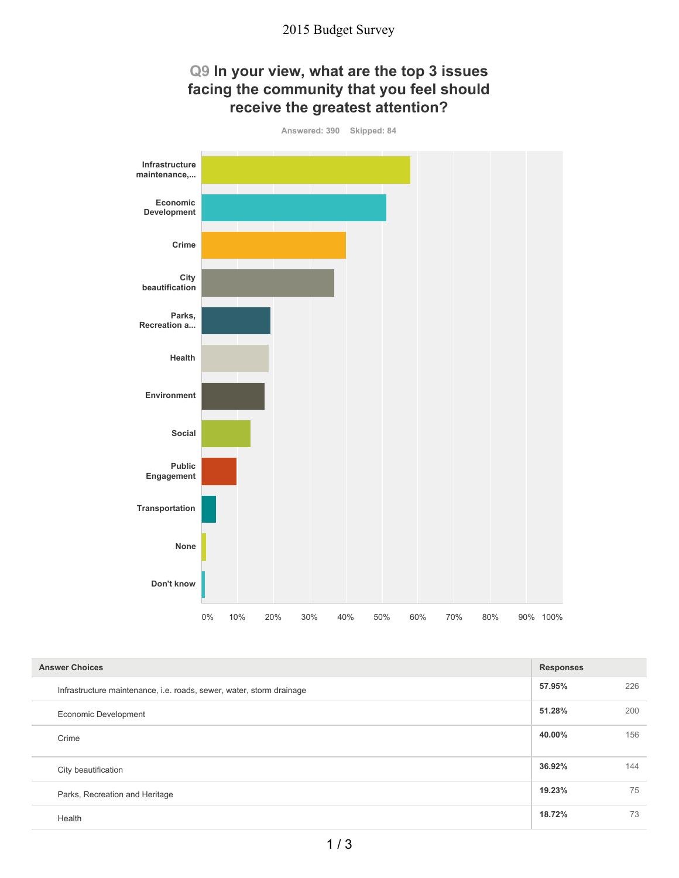

| <b>Answer Choices</b>                                                |        | <b>Responses</b> |  |
|----------------------------------------------------------------------|--------|------------------|--|
| Infrastructure maintenance, i.e. roads, sewer, water, storm drainage | 57.95% | 226              |  |
| Economic Development                                                 | 51.28% | 200              |  |
| Crime                                                                | 40.00% | 156              |  |
| City beautification                                                  | 36.92% | 144              |  |
| Parks, Recreation and Heritage                                       | 19.23% | 75               |  |
| Health                                                               | 18.72% | 73               |  |

#### 1 / 3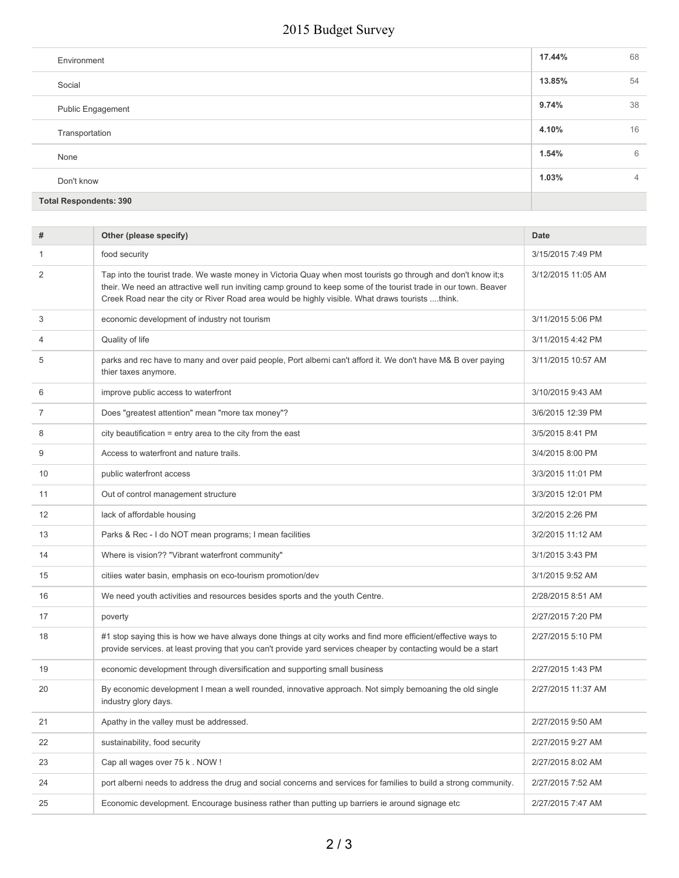| Environment                   | 17.44% | 68             |
|-------------------------------|--------|----------------|
| Social                        | 13.85% | 54             |
| <b>Public Engagement</b>      | 9.74%  | 38             |
| Transportation                | 4.10%  | 16             |
| None                          | 1.54%  | 6              |
| Don't know                    | 1.03%  | $\overline{4}$ |
| <b>Total Respondents: 390</b> |        |                |

| food security<br>3/15/2015 7:49 PM<br>1<br>2<br>Tap into the tourist trade. We waste money in Victoria Quay when most tourists go through and don't know it;s<br>3/12/2015 11:05 AM<br>their. We need an attractive well run inviting camp ground to keep some of the tourist trade in our town. Beaver<br>Creek Road near the city or River Road area would be highly visible. What draws tourists think.<br>3<br>economic development of industry not tourism<br>3/11/2015 5:06 PM<br>Quality of life<br>3/11/2015 4:42 PM<br>4<br>parks and rec have to many and over paid people, Port alberni can't afford it. We don't have M& B over paying<br>5<br>3/11/2015 10:57 AM<br>thier taxes anymore.<br>improve public access to waterfront<br>3/10/2015 9:43 AM<br>6<br>Does "greatest attention" mean "more tax money"?<br>3/6/2015 12:39 PM<br>7<br>city beautification = entry area to the city from the east<br>8<br>3/5/2015 8:41 PM<br>9<br>Access to waterfront and nature trails.<br>3/4/2015 8:00 PM<br>10<br>3/3/2015 11:01 PM<br>public waterfront access<br>Out of control management structure<br>11<br>3/3/2015 12:01 PM<br>12<br>lack of affordable housing<br>3/2/2015 2:26 PM<br>13<br>Parks & Rec - I do NOT mean programs; I mean facilities<br>3/2/2015 11:12 AM<br>14<br>Where is vision?? "Vibrant waterfront community"<br>3/1/2015 3:43 PM<br>15<br>citiies water basin, emphasis on eco-tourism promotion/dev<br>3/1/2015 9:52 AM<br>16<br>We need youth activities and resources besides sports and the youth Centre.<br>2/28/2015 8:51 AM<br>17<br>poverty<br>2/27/2015 7:20 PM<br>#1 stop saying this is how we have always done things at city works and find more efficient/effective ways to<br>18<br>2/27/2015 5:10 PM<br>provide services, at least proving that you can't provide yard services cheaper by contacting would be a start<br>economic development through diversification and supporting small business<br>19<br>2/27/2015 1:43 PM<br>By economic development I mean a well rounded, innovative approach. Not simply bemoaning the old single<br>20<br>2/27/2015 11:37 AM<br>industry glory days.<br>21<br>2/27/2015 9:50 AM<br>Apathy in the valley must be addressed.<br>sustainability, food security<br>22<br>2/27/2015 9:27 AM<br>23<br>Cap all wages over 75 k. NOW!<br>2/27/2015 8:02 AM<br>24<br>port alberni needs to address the drug and social concerns and services for families to build a strong community.<br>2/27/2015 7:52 AM<br>25<br>Economic development. Encourage business rather than putting up barriers ie around signage etc<br>2/27/2015 7:47 AM | # | Other (please specify) | <b>Date</b> |
|-------------------------------------------------------------------------------------------------------------------------------------------------------------------------------------------------------------------------------------------------------------------------------------------------------------------------------------------------------------------------------------------------------------------------------------------------------------------------------------------------------------------------------------------------------------------------------------------------------------------------------------------------------------------------------------------------------------------------------------------------------------------------------------------------------------------------------------------------------------------------------------------------------------------------------------------------------------------------------------------------------------------------------------------------------------------------------------------------------------------------------------------------------------------------------------------------------------------------------------------------------------------------------------------------------------------------------------------------------------------------------------------------------------------------------------------------------------------------------------------------------------------------------------------------------------------------------------------------------------------------------------------------------------------------------------------------------------------------------------------------------------------------------------------------------------------------------------------------------------------------------------------------------------------------------------------------------------------------------------------------------------------------------------------------------------------------------------------------------------------------------------------------------------------------------------------------------------------------------------------------------------------------------------------------------------------------------------------------------------------------------------------------------------------------------------------------------------------------------------------------------------------------------------------------------------------------------------------------------------------------------|---|------------------------|-------------|
|                                                                                                                                                                                                                                                                                                                                                                                                                                                                                                                                                                                                                                                                                                                                                                                                                                                                                                                                                                                                                                                                                                                                                                                                                                                                                                                                                                                                                                                                                                                                                                                                                                                                                                                                                                                                                                                                                                                                                                                                                                                                                                                                                                                                                                                                                                                                                                                                                                                                                                                                                                                                                               |   |                        |             |
|                                                                                                                                                                                                                                                                                                                                                                                                                                                                                                                                                                                                                                                                                                                                                                                                                                                                                                                                                                                                                                                                                                                                                                                                                                                                                                                                                                                                                                                                                                                                                                                                                                                                                                                                                                                                                                                                                                                                                                                                                                                                                                                                                                                                                                                                                                                                                                                                                                                                                                                                                                                                                               |   |                        |             |
|                                                                                                                                                                                                                                                                                                                                                                                                                                                                                                                                                                                                                                                                                                                                                                                                                                                                                                                                                                                                                                                                                                                                                                                                                                                                                                                                                                                                                                                                                                                                                                                                                                                                                                                                                                                                                                                                                                                                                                                                                                                                                                                                                                                                                                                                                                                                                                                                                                                                                                                                                                                                                               |   |                        |             |
|                                                                                                                                                                                                                                                                                                                                                                                                                                                                                                                                                                                                                                                                                                                                                                                                                                                                                                                                                                                                                                                                                                                                                                                                                                                                                                                                                                                                                                                                                                                                                                                                                                                                                                                                                                                                                                                                                                                                                                                                                                                                                                                                                                                                                                                                                                                                                                                                                                                                                                                                                                                                                               |   |                        |             |
|                                                                                                                                                                                                                                                                                                                                                                                                                                                                                                                                                                                                                                                                                                                                                                                                                                                                                                                                                                                                                                                                                                                                                                                                                                                                                                                                                                                                                                                                                                                                                                                                                                                                                                                                                                                                                                                                                                                                                                                                                                                                                                                                                                                                                                                                                                                                                                                                                                                                                                                                                                                                                               |   |                        |             |
|                                                                                                                                                                                                                                                                                                                                                                                                                                                                                                                                                                                                                                                                                                                                                                                                                                                                                                                                                                                                                                                                                                                                                                                                                                                                                                                                                                                                                                                                                                                                                                                                                                                                                                                                                                                                                                                                                                                                                                                                                                                                                                                                                                                                                                                                                                                                                                                                                                                                                                                                                                                                                               |   |                        |             |
|                                                                                                                                                                                                                                                                                                                                                                                                                                                                                                                                                                                                                                                                                                                                                                                                                                                                                                                                                                                                                                                                                                                                                                                                                                                                                                                                                                                                                                                                                                                                                                                                                                                                                                                                                                                                                                                                                                                                                                                                                                                                                                                                                                                                                                                                                                                                                                                                                                                                                                                                                                                                                               |   |                        |             |
|                                                                                                                                                                                                                                                                                                                                                                                                                                                                                                                                                                                                                                                                                                                                                                                                                                                                                                                                                                                                                                                                                                                                                                                                                                                                                                                                                                                                                                                                                                                                                                                                                                                                                                                                                                                                                                                                                                                                                                                                                                                                                                                                                                                                                                                                                                                                                                                                                                                                                                                                                                                                                               |   |                        |             |
|                                                                                                                                                                                                                                                                                                                                                                                                                                                                                                                                                                                                                                                                                                                                                                                                                                                                                                                                                                                                                                                                                                                                                                                                                                                                                                                                                                                                                                                                                                                                                                                                                                                                                                                                                                                                                                                                                                                                                                                                                                                                                                                                                                                                                                                                                                                                                                                                                                                                                                                                                                                                                               |   |                        |             |
|                                                                                                                                                                                                                                                                                                                                                                                                                                                                                                                                                                                                                                                                                                                                                                                                                                                                                                                                                                                                                                                                                                                                                                                                                                                                                                                                                                                                                                                                                                                                                                                                                                                                                                                                                                                                                                                                                                                                                                                                                                                                                                                                                                                                                                                                                                                                                                                                                                                                                                                                                                                                                               |   |                        |             |
|                                                                                                                                                                                                                                                                                                                                                                                                                                                                                                                                                                                                                                                                                                                                                                                                                                                                                                                                                                                                                                                                                                                                                                                                                                                                                                                                                                                                                                                                                                                                                                                                                                                                                                                                                                                                                                                                                                                                                                                                                                                                                                                                                                                                                                                                                                                                                                                                                                                                                                                                                                                                                               |   |                        |             |
|                                                                                                                                                                                                                                                                                                                                                                                                                                                                                                                                                                                                                                                                                                                                                                                                                                                                                                                                                                                                                                                                                                                                                                                                                                                                                                                                                                                                                                                                                                                                                                                                                                                                                                                                                                                                                                                                                                                                                                                                                                                                                                                                                                                                                                                                                                                                                                                                                                                                                                                                                                                                                               |   |                        |             |
|                                                                                                                                                                                                                                                                                                                                                                                                                                                                                                                                                                                                                                                                                                                                                                                                                                                                                                                                                                                                                                                                                                                                                                                                                                                                                                                                                                                                                                                                                                                                                                                                                                                                                                                                                                                                                                                                                                                                                                                                                                                                                                                                                                                                                                                                                                                                                                                                                                                                                                                                                                                                                               |   |                        |             |
|                                                                                                                                                                                                                                                                                                                                                                                                                                                                                                                                                                                                                                                                                                                                                                                                                                                                                                                                                                                                                                                                                                                                                                                                                                                                                                                                                                                                                                                                                                                                                                                                                                                                                                                                                                                                                                                                                                                                                                                                                                                                                                                                                                                                                                                                                                                                                                                                                                                                                                                                                                                                                               |   |                        |             |
|                                                                                                                                                                                                                                                                                                                                                                                                                                                                                                                                                                                                                                                                                                                                                                                                                                                                                                                                                                                                                                                                                                                                                                                                                                                                                                                                                                                                                                                                                                                                                                                                                                                                                                                                                                                                                                                                                                                                                                                                                                                                                                                                                                                                                                                                                                                                                                                                                                                                                                                                                                                                                               |   |                        |             |
|                                                                                                                                                                                                                                                                                                                                                                                                                                                                                                                                                                                                                                                                                                                                                                                                                                                                                                                                                                                                                                                                                                                                                                                                                                                                                                                                                                                                                                                                                                                                                                                                                                                                                                                                                                                                                                                                                                                                                                                                                                                                                                                                                                                                                                                                                                                                                                                                                                                                                                                                                                                                                               |   |                        |             |
|                                                                                                                                                                                                                                                                                                                                                                                                                                                                                                                                                                                                                                                                                                                                                                                                                                                                                                                                                                                                                                                                                                                                                                                                                                                                                                                                                                                                                                                                                                                                                                                                                                                                                                                                                                                                                                                                                                                                                                                                                                                                                                                                                                                                                                                                                                                                                                                                                                                                                                                                                                                                                               |   |                        |             |
|                                                                                                                                                                                                                                                                                                                                                                                                                                                                                                                                                                                                                                                                                                                                                                                                                                                                                                                                                                                                                                                                                                                                                                                                                                                                                                                                                                                                                                                                                                                                                                                                                                                                                                                                                                                                                                                                                                                                                                                                                                                                                                                                                                                                                                                                                                                                                                                                                                                                                                                                                                                                                               |   |                        |             |
|                                                                                                                                                                                                                                                                                                                                                                                                                                                                                                                                                                                                                                                                                                                                                                                                                                                                                                                                                                                                                                                                                                                                                                                                                                                                                                                                                                                                                                                                                                                                                                                                                                                                                                                                                                                                                                                                                                                                                                                                                                                                                                                                                                                                                                                                                                                                                                                                                                                                                                                                                                                                                               |   |                        |             |
|                                                                                                                                                                                                                                                                                                                                                                                                                                                                                                                                                                                                                                                                                                                                                                                                                                                                                                                                                                                                                                                                                                                                                                                                                                                                                                                                                                                                                                                                                                                                                                                                                                                                                                                                                                                                                                                                                                                                                                                                                                                                                                                                                                                                                                                                                                                                                                                                                                                                                                                                                                                                                               |   |                        |             |
|                                                                                                                                                                                                                                                                                                                                                                                                                                                                                                                                                                                                                                                                                                                                                                                                                                                                                                                                                                                                                                                                                                                                                                                                                                                                                                                                                                                                                                                                                                                                                                                                                                                                                                                                                                                                                                                                                                                                                                                                                                                                                                                                                                                                                                                                                                                                                                                                                                                                                                                                                                                                                               |   |                        |             |
|                                                                                                                                                                                                                                                                                                                                                                                                                                                                                                                                                                                                                                                                                                                                                                                                                                                                                                                                                                                                                                                                                                                                                                                                                                                                                                                                                                                                                                                                                                                                                                                                                                                                                                                                                                                                                                                                                                                                                                                                                                                                                                                                                                                                                                                                                                                                                                                                                                                                                                                                                                                                                               |   |                        |             |
|                                                                                                                                                                                                                                                                                                                                                                                                                                                                                                                                                                                                                                                                                                                                                                                                                                                                                                                                                                                                                                                                                                                                                                                                                                                                                                                                                                                                                                                                                                                                                                                                                                                                                                                                                                                                                                                                                                                                                                                                                                                                                                                                                                                                                                                                                                                                                                                                                                                                                                                                                                                                                               |   |                        |             |
|                                                                                                                                                                                                                                                                                                                                                                                                                                                                                                                                                                                                                                                                                                                                                                                                                                                                                                                                                                                                                                                                                                                                                                                                                                                                                                                                                                                                                                                                                                                                                                                                                                                                                                                                                                                                                                                                                                                                                                                                                                                                                                                                                                                                                                                                                                                                                                                                                                                                                                                                                                                                                               |   |                        |             |
|                                                                                                                                                                                                                                                                                                                                                                                                                                                                                                                                                                                                                                                                                                                                                                                                                                                                                                                                                                                                                                                                                                                                                                                                                                                                                                                                                                                                                                                                                                                                                                                                                                                                                                                                                                                                                                                                                                                                                                                                                                                                                                                                                                                                                                                                                                                                                                                                                                                                                                                                                                                                                               |   |                        |             |